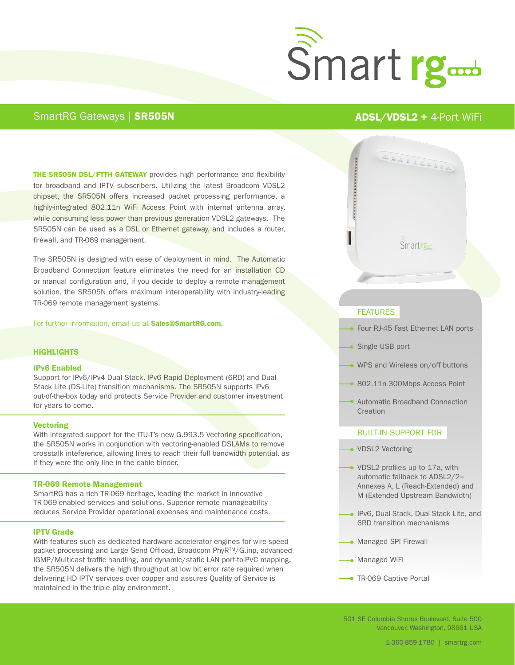

# SmartRG Gateways | SR505N ADSL/VDSL2 + 4-Port WiFi

**THE SR505N DSL/FTTH GATEWAY** provides high performance and flexibility for broadband and IPTV subscribers. Utilizing the latest Broadcom VDSL2 chipset, the SR505N offers increased packet processing performance, a highly-integrated 802.11n WiFi Access Point with internal antenna array, while consuming less power than previous generation VDSL2 gateways. The SR505N can be used as a DSL or Ethernet gateway, and includes a router, firewall, and TR-069 management.

The SR505N is designed with ease of deployment in mind. The Automatic Broadband Connection feature eliminates the need for an installation CD or manual configuration and, if you decide to deploy a remote management solution, the SR505N offers maximum interoperability with industry-leading TR-069 remote management systems.

For further information, email us at Sales@SmartRG.com.

#### **HIGHLIGHTS**

#### IPv6 Enabled

Support for IPv6/IPv4 Dual Stack, IPv6 Rapid Deployment (6RD) and Dual-Stack Lite (DS-Lite) transition mechanisms. The SR505N supports IPv6 out-of-the-box today and protects Service Provider and customer investment for years to come.

#### **Vectoring**

With integrated support for the ITU-T's new G.993.5 Vectoring specification, the SR505N works in conjunction with vectoring-enabled DSLAMs to remove crosstalk inteference, allowing lines to reach their full bandwidth potential, as if they were the only line in the cable binder.

#### TR-069 Remote Management

SmartRG has a rich TR-069 heritage, leading the market in innovative TR-069-enabled services and solutions. Superior remote manageability reduces Service Provider operational expenses and maintenance costs.

#### IPTV Grade

With features such as dedicated hardware accelerator engines for wire-speed packet processing and Large Send Offload, Broadcom PhyR™/G.inp, advanced IGMP/Multicast traffic handling, and dynamic/static LAN port-to-PVC mapping, the SR505N delivers the high throughput at low bit error rate required when delivering HD IPTV services over copper and assures Quality of Service is maintained in the triple play environment.



# **FEATURES**

- Four RJ-45 Fast Ethernet LAN ports
- Single USB port
- WPS and Wireless on/off buttons
- 802.11n 300Mbps Access Point
- Automatic Broadband Connection **Creation**

## BUILT-IN SUPPORT FOR

- VDSL2 Vectoring
- VDSL2 profiles up to 17a, with automatic fallback to ADSL2/2+ Annexes A, L (Reach-Extended) and M (Extended Upstream Bandwidth)
- IPv6, Dual-Stack, Dual-Stack Lite, and 6RD transition mechanisms
- Managed SPI Firewall
- **Managed WiFi**
- **TR-069 Captive Portal**

501 SE Columbia Shores Boulevard, Suite 500 Vancouver, Washington, 98661 USA